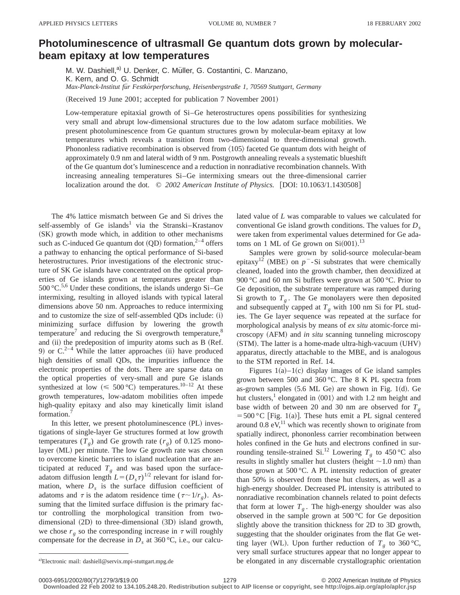## **Photoluminescence of ultrasmall Ge quantum dots grown by molecularbeam epitaxy at low temperatures**

M. W. Dashiell,<sup>a)</sup> U. Denker, C. Müller, G. Costantini, C. Manzano, K. Kern, and O. G. Schmidt *Max-Planck-Institut fu¨r Festko¨rperforschung, Heisenbergstraße 1, 70569 Stuttgart, Germany*

(Received 19 June 2001; accepted for publication 7 November 2001)

Low-temperature epitaxial growth of Si–Ge heterostructures opens possibilities for synthesizing very small and abrupt low-dimensional structures due to the low adatom surface mobilities. We present photoluminescence from Ge quantum structures grown by molecular-beam epitaxy at low temperatures which reveals a transition from two-dimensional to three-dimensional growth. Phononless radiative recombination is observed from  $\langle 105 \rangle$  faceted Ge quantum dots with height of approximately 0.9 nm and lateral width of 9 nm. Postgrowth annealing reveals a systematic blueshift of the Ge quantum dot's luminescence and a reduction in nonradiative recombination channels. With increasing annealing temperatures Si–Ge intermixing smears out the three-dimensional carrier localization around the dot.  $\degree$  *2002 American Institute of Physics.* [DOI: 10.1063/1.1430508]

The 4% lattice mismatch between Ge and Si drives the self-assembly of Ge islands<sup>1</sup> via the Stranski–Krastanov (SK) growth mode which, in addition to other mechanisms such as C-induced Ge quantum dot  $(QD)$  formation,<sup>2–4</sup> offers a pathway to enhancing the optical performance of Si-based heterostructures. Prior investigations of the electronic structure of SK Ge islands have concentrated on the optical properties of Ge islands grown at temperatures greater than  $500 \, \text{°C}$ <sup>5,6</sup> Under these conditions, the islands undergo Si–Ge intermixing, resulting in alloyed islands with typical lateral dimensions above 50 nm. Approaches to reduce intermixing and to customize the size of self-assembled  $QDs$  include:  $(i)$ minimizing surface diffusion by lowering the growth temperature<sup> $\prime$ </sup> and reducing the Si overgrowth temperature, $\frac{8}{3}$ and (ii) the predeposition of impurity atoms such as B (Ref. 9) or  $C^{2-4}$  While the latter approaches (ii) have produced high densities of small QDs, the impurities influence the electronic properties of the dots. There are sparse data on the optical properties of very-small and pure Ge islands synthesized at low  $(\leq 500 \degree C)$  temperatures.<sup>10–12</sup> At these growth temperatures, low-adatom mobilities often impede high-quality epitaxy and also may kinetically limit island formation.

In this letter, we present photoluminescence  $(PL)$  investigations of single-layer Ge structures formed at low growth temperatures  $(T_g)$  and Ge growth rate  $(r_g)$  of 0.125 monolayer (ML) per minute. The low Ge growth rate was chosen to overcome kinetic barriers to island nucleation that are anticipated at reduced  $T_g$  and was based upon the surfaceadatom diffusion length  $L=(D<sub>s</sub>\tau)^{1/2}$  relevant for island formation, where  $D<sub>s</sub>$  is the surface diffusion coefficient of adatoms and  $\tau$  is the adatom residence time ( $\tau \sim 1/r<sub>g</sub>$ ). Assuming that the limited surface diffusion is the primary factor controlling the morphological transition from twodimensional  $(2D)$  to three-dimensional  $(3D)$  island growth, we chose  $r_g$  so the corresponding increase in  $\tau$  will roughly compensate for the decrease in  $D_s$  at 360 °C, i.e., our calculated value of *L* was comparable to values we calculated for conventional Ge island growth conditions. The values for *D<sub>s</sub>* were taken from experimental values determined for Ge adatoms on 1 ML of Ge grown on  $Si(001).$ <sup>13</sup>

Samples were grown by solid-source molecular-beam epitaxy<sup>12</sup> (MBE) on  $p^-$ -Si substrates that were chemically cleaned, loaded into the growth chamber, then deoxidized at 900 °C and 60 nm Si buffers were grown at 500 °C. Prior to Ge deposition, the substrate temperature was ramped during Si growth to  $T<sub>g</sub>$ . The Ge monolayers were then deposited and subsequently capped at  $T_g$  with 100 nm Si for PL studies. The Ge layer sequence was repeated at the surface for morphological analysis by means of *ex situ* atomic-force microscopy (AFM) and *in situ* scanning tunneling microscopy (STM). The latter is a home-made ultra-high-vacuum (UHV) apparatus, directly attachable to the MBE, and is analogous to the STM reported in Ref. 14.

Figures  $1(a)-1(c)$  display images of Ge island samples grown between 500 and 360 °C. The 8 K PL spectra from as-grown samples  $(5.6 \text{ ML Ge})$  are shown in Fig. 1(d). Ge hut clusters,<sup>1</sup> elongated in  $\langle 001 \rangle$  and with 1.2 nm height and base width of between 20 and 30 nm are observed for  $T<sub>g</sub>$  $=500 °C$  [Fig. 1(a)]. These huts emit a PL signal centered around 0.8 eV, $^{11}$  which was recently shown to originate from spatially indirect, phononless carrier recombination between holes confined in the Ge huts and electrons confined in surrounding tensile-strained Si.<sup>12</sup> Lowering  $T_g$  to 450 °C also results in slightly smaller hut clusters (height  $\sim$  1.0 nm) than those grown at 500 °C. A PL intensity reduction of greater than 50% is observed from these hut clusters, as well as a high-energy shoulder. Decreased PL intensity is attributed to nonradiative recombination channels related to point defects that form at lower  $T<sub>g</sub>$ . The high-energy shoulder was also observed in the sample grown at 500 °C for Ge deposition slightly above the transition thickness for 2D to 3D growth, suggesting that the shoulder originates from the flat Ge wetting layer (WL). Upon further reduction of  $T_g$  to 360 °C, very small surface structures appear that no longer appear to be elongated in any discernable crystallographic orientation

**Downloaded 22 Feb 2002 to 134.105.248.20. Redistribution subject to AIP license or copyright, see http://ojps.aip.org/aplo/aplcr.jsp**

a)Electronic mail: dashiell@servix.mpi-stuttgart.mpg.de

<sup>0003-6951/2002/80(7)/1279/3/\$19.00 6960001 1279 1279 696002</sup> American Institute of Physics 1279 69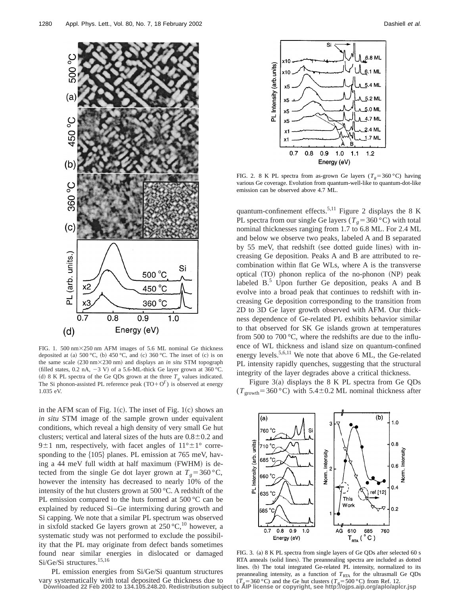

FIG. 1. 500 nm $\times$ 250 nm AFM images of 5.6 ML nominal Ge thickness deposited at (a)  $500 °C$ , (b)  $450 °C$ , and (c)  $360 °C$ . The inset of (c) is on the same scale (230 nm×230 nm) and displays an *in situ* STM topograph (filled states, 0.2 nA,  $-3$  V) of a 5.6-ML-thick Ge layer grown at 360 °C. (d) 8 K PL spectra of the Ge QDs grown at the three  $T<sub>g</sub>$  values indicated. The Si phonon-assisted PL reference peak  $(TO+O<sup>\Gamma</sup>)$  is observed at energy 1.035 eV.

in the AFM scan of Fig. 1(c). The inset of Fig. 1(c) shows an *in situ* STM image of the sample grown under equivalent conditions, which reveal a high density of very small Ge hut clusters; vertical and lateral sizes of the huts are  $0.8\pm0.2$  and 9 $\pm$ 1 nm, respectively, with facet angles of  $11^{\circ} \pm 1^{\circ}$  corresponding to the  $\{105\}$  planes. PL emission at 765 meV, having a 44 meV full width at half maximum  $(FWHM)$  is detected from the single Ge dot layer grown at  $T_g = 360 \degree C$ , however the intensity has decreased to nearly 10% of the intensity of the hut clusters grown at 500 °C. A redshift of the PL emission compared to the huts formed at 500 °C can be explained by reduced Si–Ge intermixing during growth and Si capping. We note that a similar PL spectrum was observed in sixfold stacked Ge layers grown at  $250^{\circ}C$ ,<sup>10</sup> however, a systematic study was not performed to exclude the possibility that the PL may originate from defect bands sometimes found near similar energies in dislocated or damaged Si/Ge/Si structures.<sup>15,16</sup>

PL emission energies from Si/Ge/Si quantum structures vary systematically with total deposited Ge thickness due to



FIG. 2. 8 K PL spectra from as-grown Ge layers ( $T<sub>g</sub>$ =360 °C) having various Ge coverage. Evolution from quantum-well-like to quantum-dot-like emission can be observed above 4.7 ML.

quantum-confinement effects.<sup>5,11</sup> Figure 2 displays the 8 K PL spectra from our single Ge layers ( $T_g$ =360 °C) with total nominal thicknesses ranging from 1.7 to 6.8 ML. For 2.4 ML and below we observe two peaks, labeled A and B separated by 55 meV, that redshift (see dotted guide lines) with increasing Ge deposition. Peaks A and B are attributed to recombination within flat Ge WLs, where A is the transverse optical  $(TO)$  phonon replica of the no-phonon  $(NP)$  peak labeled B.<sup>5</sup> Upon further Ge deposition, peaks A and B evolve into a broad peak that continues to redshift with increasing Ge deposition corresponding to the transition from 2D to 3D Ge layer growth observed with AFM. Our thickness dependence of Ge-related PL exhibits behavior similar to that observed for SK Ge islands grown at temperatures from 500 to 700 °C, where the redshifts are due to the influence of WL thickness and island size on quantum-confined energy levels.5,6,11 We note that above 6 ML, the Ge-related PL intensity rapidly quenches, suggesting that the structural integrity of the layer degrades above a critical thickness.

Figure  $3(a)$  displays the 8 K PL spectra from Ge QDs  $(T_{\text{growth}}=360 \degree C)$  with 5.4±0.2 ML nominal thickness after



FIG. 3. (a) 8 K PL spectra from single layers of Ge QDs after selected 60 s RTA anneals (solid lines). The preannealing spectra are included as dotted lines. (b) The total integrated Ge-related PL intensity, normalized to its preannealing intensity, as a function of  $T_{RTA}$  for the ultrasmall Ge QDs  $(T_e = 360 \degree C)$  and the Ge hut clusters  $(T_e = 500 \degree C)$  from Ref. 12.

**Downloaded 22 Feb 2002 to 134.105.248.20. Redistribution subject to AIP license or copyright, see http://ojps.aip.org/aplo/aplcr.jsp**